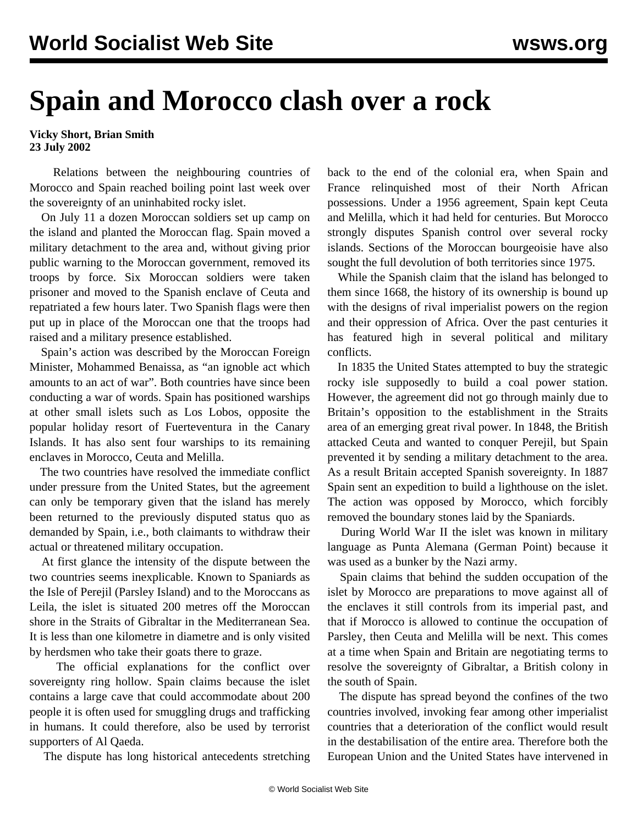## **Spain and Morocco clash over a rock**

**Vicky Short, Brian Smith 23 July 2002**

 Relations between the neighbouring countries of Morocco and Spain reached boiling point last week over the sovereignty of an uninhabited rocky islet.

 On July 11 a dozen Moroccan soldiers set up camp on the island and planted the Moroccan flag. Spain moved a military detachment to the area and, without giving prior public warning to the Moroccan government, removed its troops by force. Six Moroccan soldiers were taken prisoner and moved to the Spanish enclave of Ceuta and repatriated a few hours later. Two Spanish flags were then put up in place of the Moroccan one that the troops had raised and a military presence established.

 Spain's action was described by the Moroccan Foreign Minister, Mohammed Benaissa, as "an ignoble act which amounts to an act of war". Both countries have since been conducting a war of words. Spain has positioned warships at other small islets such as Los Lobos, opposite the popular holiday resort of Fuerteventura in the Canary Islands. It has also sent four warships to its remaining enclaves in Morocco, Ceuta and Melilla.

 The two countries have resolved the immediate conflict under pressure from the United States, but the agreement can only be temporary given that the island has merely been returned to the previously disputed status quo as demanded by Spain, i.e., both claimants to withdraw their actual or threatened military occupation.

 At first glance the intensity of the dispute between the two countries seems inexplicable. Known to Spaniards as the Isle of Perejil (Parsley Island) and to the Moroccans as Leila, the islet is situated 200 metres off the Moroccan shore in the Straits of Gibraltar in the Mediterranean Sea. It is less than one kilometre in diametre and is only visited by herdsmen who take their goats there to graze.

 The official explanations for the conflict over sovereignty ring hollow. Spain claims because the islet contains a large cave that could accommodate about 200 people it is often used for smuggling drugs and trafficking in humans. It could therefore, also be used by terrorist supporters of Al Qaeda.

The dispute has long historical antecedents stretching

back to the end of the colonial era, when Spain and France relinquished most of their North African possessions. Under a 1956 agreement, Spain kept Ceuta and Melilla, which it had held for centuries. But Morocco strongly disputes Spanish control over several rocky islands. Sections of the Moroccan bourgeoisie have also sought the full devolution of both territories since 1975.

 While the Spanish claim that the island has belonged to them since 1668, the history of its ownership is bound up with the designs of rival imperialist powers on the region and their oppression of Africa. Over the past centuries it has featured high in several political and military conflicts.

 In 1835 the United States attempted to buy the strategic rocky isle supposedly to build a coal power station. However, the agreement did not go through mainly due to Britain's opposition to the establishment in the Straits area of an emerging great rival power. In 1848, the British attacked Ceuta and wanted to conquer Perejil, but Spain prevented it by sending a military detachment to the area. As a result Britain accepted Spanish sovereignty. In 1887 Spain sent an expedition to build a lighthouse on the islet. The action was opposed by Morocco, which forcibly removed the boundary stones laid by the Spaniards.

 During World War II the islet was known in military language as Punta Alemana (German Point) because it was used as a bunker by the Nazi army.

 Spain claims that behind the sudden occupation of the islet by Morocco are preparations to move against all of the enclaves it still controls from its imperial past, and that if Morocco is allowed to continue the occupation of Parsley, then Ceuta and Melilla will be next. This comes at a time when Spain and Britain are negotiating terms to resolve the sovereignty of Gibraltar, a British colony in the south of Spain.

 The dispute has spread beyond the confines of the two countries involved, invoking fear among other imperialist countries that a deterioration of the conflict would result in the destabilisation of the entire area. Therefore both the European Union and the United States have intervened in